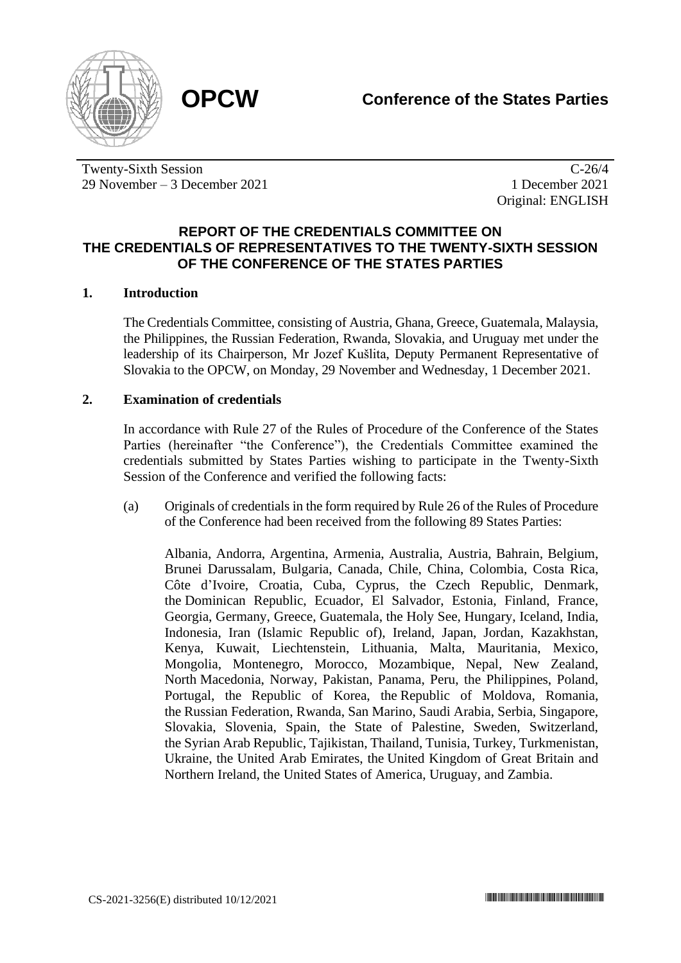



Twenty-Sixth Session 29 November – 3 December 2021

C-26/4 1 December 2021 Original: ENGLISH

## **REPORT OF THE CREDENTIALS COMMITTEE ON THE CREDENTIALS OF REPRESENTATIVES TO THE TWENTY-SIXTH SESSION OF THE CONFERENCE OF THE STATES PARTIES**

## **1. Introduction**

The Credentials Committee, consisting of Austria, Ghana, Greece, Guatemala, Malaysia, the Philippines, the Russian Federation, Rwanda, Slovakia, and Uruguay met under the leadership of its Chairperson, Mr Jozef Kušlita, Deputy Permanent Representative of Slovakia to the OPCW, on Monday, 29 November and Wednesday, 1 December 2021.

## **2. Examination of credentials**

In accordance with Rule 27 of the Rules of Procedure of the Conference of the States Parties (hereinafter "the Conference"), the Credentials Committee examined the credentials submitted by States Parties wishing to participate in the Twenty-Sixth Session of the Conference and verified the following facts:

(a) Originals of credentials in the form required by Rule 26 of the Rules of Procedure of the Conference had been received from the following 89 States Parties:

Albania, Andorra, Argentina, Armenia, Australia, Austria, Bahrain, Belgium, Brunei Darussalam, Bulgaria, Canada, Chile, China, Colombia, Costa Rica, Côte d'Ivoire, Croatia, Cuba, Cyprus, the Czech Republic, Denmark, the Dominican Republic, Ecuador, El Salvador, Estonia, Finland, France, Georgia, Germany, Greece, Guatemala, the Holy See, Hungary, Iceland, India, Indonesia, Iran (Islamic Republic of), Ireland, Japan, Jordan, Kazakhstan, Kenya, Kuwait, Liechtenstein, Lithuania, Malta, Mauritania, Mexico, Mongolia, Montenegro, Morocco, Mozambique, Nepal, New Zealand, North Macedonia, Norway, Pakistan, Panama, Peru, the Philippines, Poland, Portugal, the Republic of Korea, the Republic of Moldova, Romania, the Russian Federation, Rwanda, San Marino, Saudi Arabia, Serbia, Singapore, Slovakia, Slovenia, Spain, the State of Palestine, Sweden, Switzerland, the Syrian Arab Republic, Tajikistan, Thailand, Tunisia, Turkey, Turkmenistan, Ukraine, the United Arab Emirates, the United Kingdom of Great Britain and Northern Ireland, the United States of America, Uruguay, and Zambia.